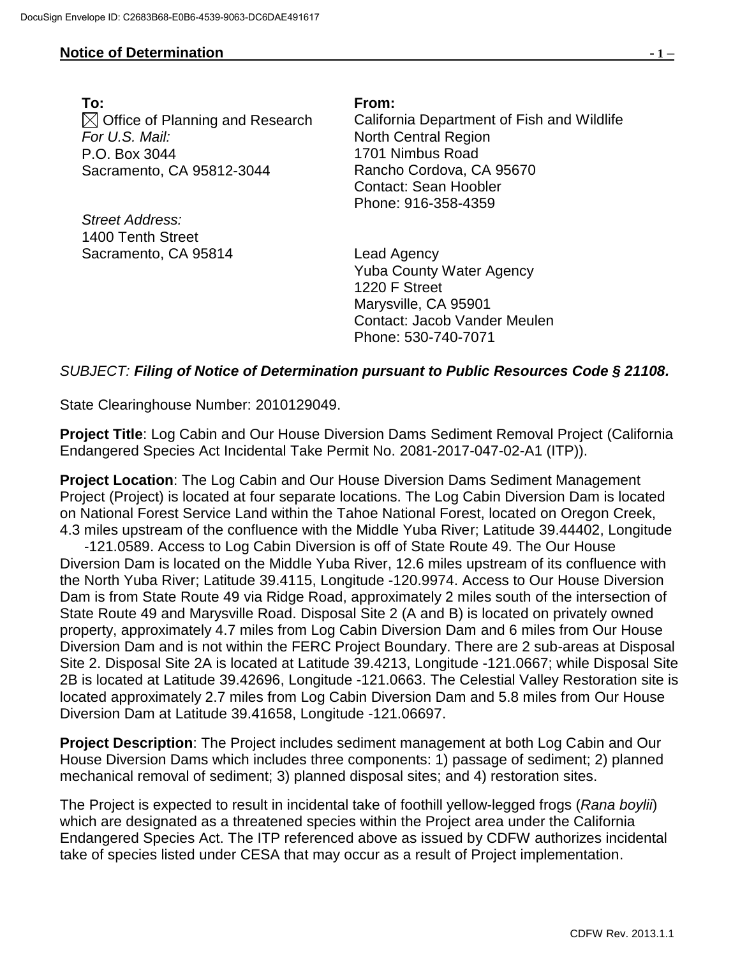## **Notice of Determination - 1 –**

**To: From:**  $\boxtimes$  Office of Planning and Research *For U.S. Mail:* P.O. Box 3044 Sacramento, CA 95812-3044

*Street Address:* 1400 Tenth Street Sacramento, CA 95814 Lead Agency

California Department of Fish and Wildlife North Central Region 1701 Nimbus Road Rancho Cordova, CA 95670 Contact: Sean Hoobler Phone: 916-358-4359

Yuba County Water Agency 1220 F Street Marysville, CA 95901 Contact: Jacob Vander Meulen Phone: 530-740-7071

## *SUBJECT: Filing of Notice of Determination pursuant to Public Resources Code § 21108.*

State Clearinghouse Number: 2010129049.

**Project Title**: Log Cabin and Our House Diversion Dams Sediment Removal Project (California Endangered Species Act Incidental Take Permit No. 2081-2017-047-02-A1 (ITP)).

**Project Location**: The Log Cabin and Our House Diversion Dams Sediment Management Project (Project) is located at four separate locations. The Log Cabin Diversion Dam is located on National Forest Service Land within the Tahoe National Forest, located on Oregon Creek, 4.3 miles upstream of the confluence with the Middle Yuba River; Latitude 39.44402, Longitude

 -121.0589. Access to Log Cabin Diversion is off of State Route 49. The Our House Diversion Dam is located on the Middle Yuba River, 12.6 miles upstream of its confluence with the North Yuba River; Latitude 39.4115, Longitude -120.9974. Access to Our House Diversion Dam is from State Route 49 via Ridge Road, approximately 2 miles south of the intersection of State Route 49 and Marysville Road. Disposal Site 2 (A and B) is located on privately owned property, approximately 4.7 miles from Log Cabin Diversion Dam and 6 miles from Our House Diversion Dam and is not within the FERC Project Boundary. There are 2 sub-areas at Disposal Site 2. Disposal Site 2A is located at Latitude 39.4213, Longitude -121.0667; while Disposal Site 2B is located at Latitude 39.42696, Longitude -121.0663. The Celestial Valley Restoration site is located approximately 2.7 miles from Log Cabin Diversion Dam and 5.8 miles from Our House Diversion Dam at Latitude 39.41658, Longitude -121.06697.

**Project Description**: The Project includes sediment management at both Log Cabin and Our House Diversion Dams which includes three components: 1) passage of sediment; 2) planned mechanical removal of sediment; 3) planned disposal sites; and 4) restoration sites.

The Project is expected to result in incidental take of foothill yellow-legged frogs (*Rana boylii*) which are designated as a threatened species within the Project area under the California Endangered Species Act. The ITP referenced above as issued by CDFW authorizes incidental take of species listed under CESA that may occur as a result of Project implementation.